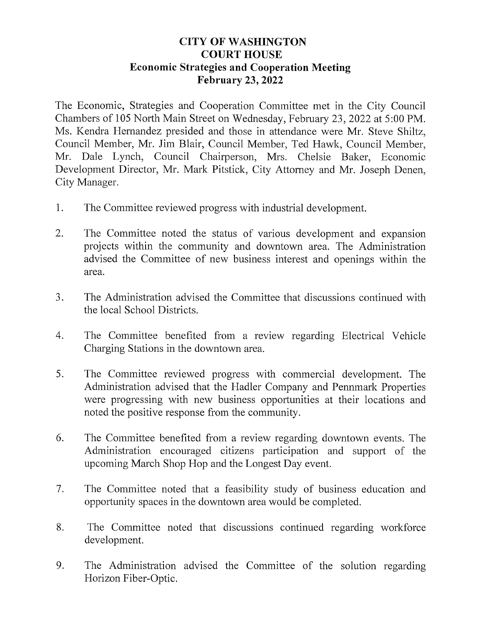## **CITY OF WASHINGTON COURT HOUSE** Economic Strategies and Cooperation Meeting February 23, 2022

The Economic, Strategies and Cooperation Committee met in the City Council Chambers of 105 North Main Street on Wednesday, February 23, 2022 at 5:00 PM. Ms. Kendra Hernandez presided and those in attendance were Mr. Steve Shiltz, Council Member, Mr. Jim Blair, Council Member, Ted Hawk, Council Member, Mr. Dale Lynch, Council Chairperson, Mrs. Chelsie Baker, Economic Development Director, Mr. Mark Pitstick, City Attorney and Mr. Joseph Denen, City Manager.

- 1. The Committee reviewed progress with industrial development.
- 2. The Committee noted the status of various development and expansion projects within the community and downtown area. The Administration advised the Committee of new business interest and openings within the area.
- 3. The Administration advised the Committee that discussions continued with the local School Districts.
- 4. The Committee benefited from a review regarding Electrical Vehicle Charging Stations in the downtown area.
- 5. The Committee reviewed progress with commercial development. The Administration advised that the Hadler Company and Pennmark Properties were progressing with new business opportunities at their locations and noted the positive response from the community.
- 6. The Committee benefited from a review regarding downtown events. The Administration encouraged citizens participation and support of the upcoming March Shop Hop and the Longest Day event.
- 7. The Committee noted that a feasibility study of business education and opportunity spaces in the downtown area would be completed.
- 8. The Committee noted that discussions continued regarding workforce development.
- 9. The Administration advised the Committee of the solution regarding Horizon Fiber-Optic.